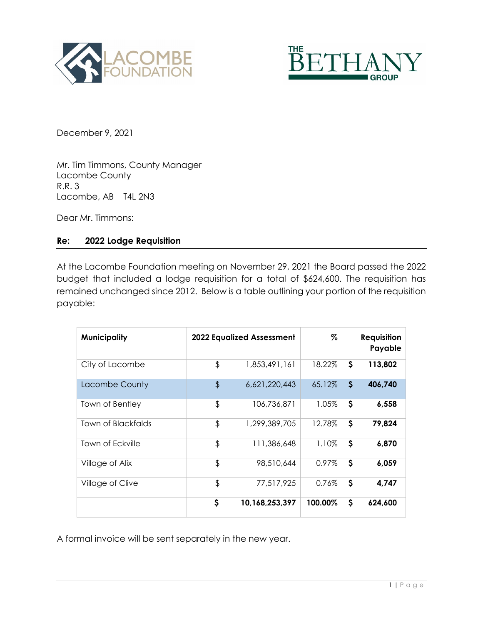



December 9, 2021

Mr. Tim Timmons, County Manager Lacombe County R.R. 3 Lacombe, AB T4L 2N3

Dear Mr. Timmons:

## **Re: 2022 Lodge Requisition**

At the Lacombe Foundation meeting on November 29, 2021 the Board passed the 2022 budget that included a lodge requisition for a total of \$624,600. The requisition has remained unchanged since 2012. Below is a table outlining your portion of the requisition payable:

| <b>Municipality</b> | <b>2022 Equalized Assessment</b> |                | %       |                           | <b>Requisition</b><br>Payable |
|---------------------|----------------------------------|----------------|---------|---------------------------|-------------------------------|
| City of Lacombe     | \$                               | 1,853,491,161  | 18.22%  | \$                        | 113,802                       |
| Lacombe County      | \$                               | 6,621,220,443  | 65.12%  | $\mathsf{S}$              | 406,740                       |
| Town of Bentley     | \$                               | 106,736,871    | 1.05%   | \$                        | 6,558                         |
| Town of Blackfalds  | \$                               | 1,299,389,705  | 12.78%  | \$                        | 79,824                        |
| Town of Eckville    | \$                               | 111,386,648    | 1.10%   | \$                        | 6.870                         |
| Village of Alix     | \$                               | 98,510,644     | 0.97%   | \$                        | 6,059                         |
| Village of Clive    | \$                               | 77,517,925     | 0.76%   | $\boldsymbol{\mathsf{S}}$ | 4,747                         |
|                     | \$                               | 10,168,253,397 | 100.00% | \$                        | 624,600                       |

A formal invoice will be sent separately in the new year.